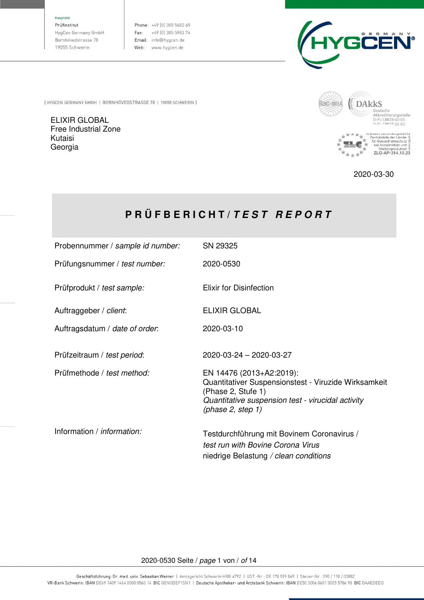Hauptsitz

Prüfinstitut HygCen Germany GmbH Bornhövedstrasse 78 19055 Schwerin

Phone: +49 (0) 385 5682 65 Fax:  $+49(0)385598374$ Email: info@hygcen.de Web: www.hygcen.de



[HYGCEN GERMANY GMBH | BORNHÖVEDSTRASSE 78 | 19055 SCHWERIN ]

ELIXIR GLOBAL Free Industrial Zone Kutaisi Georgia



2020-03-30

# **P R Ü F B E R I C H T /** *T E S T R E P O R T*

| Probennummer / sample id number:  | SN 29325                                                                                                                                                                               |
|-----------------------------------|----------------------------------------------------------------------------------------------------------------------------------------------------------------------------------------|
| Prüfungsnummer / test number:     | 2020-0530                                                                                                                                                                              |
| Prüfprodukt / test sample:        | <b>Elixir for Disinfection</b>                                                                                                                                                         |
| Auftraggeber / client:            | <b>ELIXIR GLOBAL</b>                                                                                                                                                                   |
| Auftragsdatum / date of order.    | 2020-03-10                                                                                                                                                                             |
| Prüfzeitraum / test period:       | 2020-03-24 - 2020-03-27                                                                                                                                                                |
| Prüfmethode / test method:        | EN 14476 (2013+A2:2019):<br>Quantitativer Suspensionstest - Viruzide Wirksamkeit<br>(Phase 2, Stufe 1)<br>Quantitative suspension test - virucidal activity<br>(phase $2$ , step $1$ ) |
| Information / <i>information:</i> | Testdurchführung mit Bovinem Coronavirus /<br>test run with Bovine Corona Virus<br>niedrige Belastung / clean conditions                                                               |

#### 2020-0530 Seite / page 1 von / of 14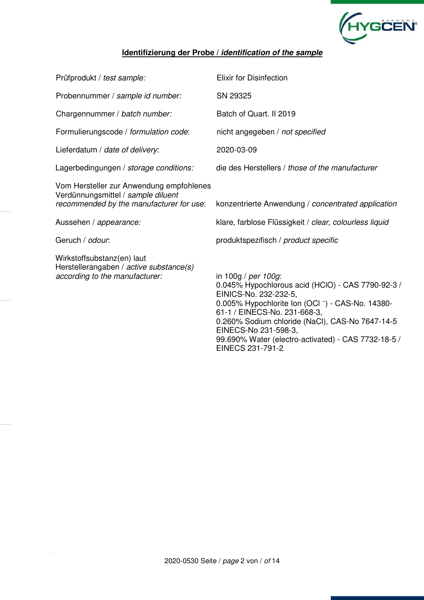

## **Identifizierung der Probe /** *identification of the sample*

| Prüfprodukt / test sample:                                                                                                 | <b>Elixir for Disinfection</b>                                                                                                                                                                                                                                                                                                              |
|----------------------------------------------------------------------------------------------------------------------------|---------------------------------------------------------------------------------------------------------------------------------------------------------------------------------------------------------------------------------------------------------------------------------------------------------------------------------------------|
| Probennummer / sample id number:                                                                                           | SN 29325                                                                                                                                                                                                                                                                                                                                    |
| Chargennummer / batch number:                                                                                              | Batch of Quart. II 2019                                                                                                                                                                                                                                                                                                                     |
| Formulierungscode / formulation code:                                                                                      | nicht angegeben / not specified                                                                                                                                                                                                                                                                                                             |
| Lieferdatum / date of delivery:                                                                                            | 2020-03-09                                                                                                                                                                                                                                                                                                                                  |
| Lagerbedingungen / storage conditions:                                                                                     | die des Herstellers / those of the manufacturer                                                                                                                                                                                                                                                                                             |
| Vom Hersteller zur Anwendung empfohlenes<br>Verdünnungsmittel / sample diluent<br>recommended by the manufacturer for use: | konzentrierte Anwendung / concentrated application                                                                                                                                                                                                                                                                                          |
| Aussehen / appearance:                                                                                                     | klare, farblose Flüssigkeit / clear, colourless liquid                                                                                                                                                                                                                                                                                      |
| Geruch / odour.                                                                                                            | produktspezifisch / product specific                                                                                                                                                                                                                                                                                                        |
| Wirkstoffsubstanz(en) laut<br>Herstellerangaben / active substance(s)<br>according to the manufacturer:                    | in 100g / per 100g:<br>0.045% Hypochlorous acid (HClO) - CAS 7790-92-3 /<br>EINICS-No. 232-232-5,<br>0.005% Hypochlorite Ion (OCI -) - CAS-No. 14380-<br>61-1 / EINECS-No. 231-668-3,<br>0.260% Sodium chloride (NaCl), CAS-No 7647-14-5<br>EINECS-No 231-598-3,<br>99.690% Water (electro-activated) - CAS 7732-18-5 /<br>EINECS 231-791-2 |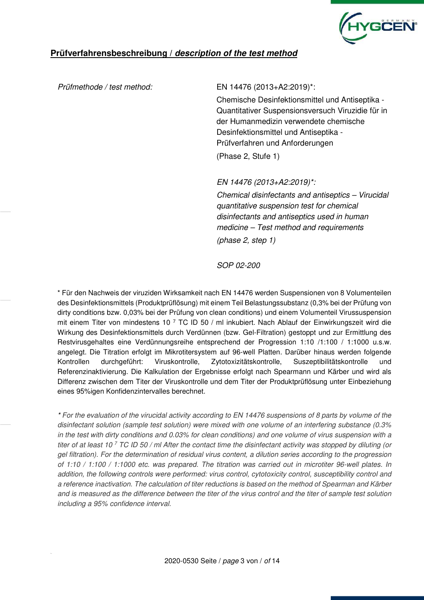

#### Prüfmethode / test method: EN 14476 (2013+A2:2019)\*:

Chemische Desinfektionsmittel und Antiseptika - Quantitativer Suspensionsversuch Viruzidie für in der Humanmedizin verwendete chemische Desinfektionsmittel und Antiseptika - Prüfverfahren und Anforderungen (Phase 2, Stufe 1)

EN 14476 (2013+A2:2019)\*:

Chemical disinfectants and antiseptics – Virucidal quantitative suspension test for chemical disinfectants and antiseptics used in human medicine – Test method and requirements (phase 2, step 1)

SOP 02-200

\* Für den Nachweis der viruziden Wirksamkeit nach EN 14476 werden Suspensionen von 8 Volumenteilen des Desinfektionsmittels (Produktprüflösung) mit einem Teil Belastungssubstanz (0,3% bei der Prüfung von dirty conditions bzw. 0,03% bei der Prüfung von clean conditions) und einem Volumenteil Virussuspension mit einem Titer von mindestens 10<sup>7</sup> TC ID 50 / ml inkubiert. Nach Ablauf der Einwirkungszeit wird die Wirkung des Desinfektionsmittels durch Verdünnen (bzw. Gel-Filtration) gestoppt und zur Ermittlung des Restvirusgehaltes eine Verdünnungsreihe entsprechend der Progression 1:10 /1:100 / 1:1000 u.s.w. angelegt. Die Titration erfolgt im Mikrotitersystem auf 96-well Platten. Darüber hinaus werden folgende Kontrollen durchgeführt: Viruskontrolle, Zytotoxizitätskontrolle, Suszeptibilitätskontrolle und Referenzinaktivierung. Die Kalkulation der Ergebnisse erfolgt nach Spearmann und Kärber und wird als Differenz zwischen dem Titer der Viruskontrolle und dem Titer der Produktprüflösung unter Einbeziehung eines 95%igen Konfidenzintervalles berechnet.

\* For the evaluation of the virucidal activity according to EN 14476 suspensions of 8 parts by volume of the disinfectant solution (sample test solution) were mixed with one volume of an interfering substance (0.3% in the test with dirty conditions and 0.03% for clean conditions) and one volume of virus suspension with a titer of at least 10<sup>7</sup> TC ID 50 / ml After the contact time the disinfectant activity was stopped by diluting (or gel filtration). For the determination of residual virus content, a dilution series according to the progression of 1:10 / 1:100 / 1:1000 etc. was prepared. The titration was carried out in microtiter 96-well plates. In addition, the following controls were performed: virus control, cytotoxicity control, susceptibility control and a reference inactivation. The calculation of titer reductions is based on the method of Spearman and Kärber and is measured as the difference between the titer of the virus control and the titer of sample test solution including a 95% confidence interval.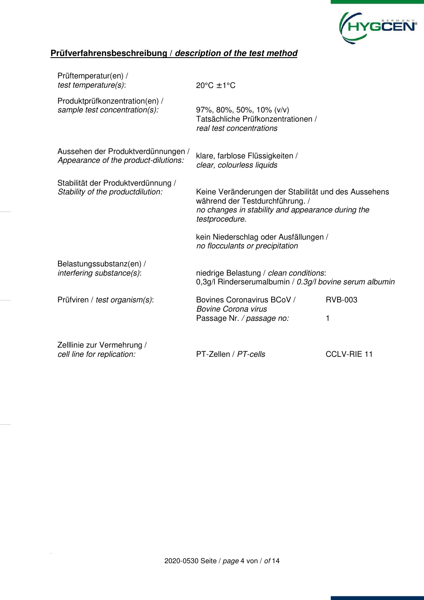

| Prüftemperatur(en) /<br>$test$ temperature $(s)$ :                         | $20^{\circ}$ C ± 1°C                                                                                                                                           |                     |  |  |  |  |  |  |
|----------------------------------------------------------------------------|----------------------------------------------------------------------------------------------------------------------------------------------------------------|---------------------|--|--|--|--|--|--|
| Produktprüfkonzentration(en) /<br>sample test concentration(s):            | 97%, 80%, 50%, 10% (v/v)<br>Tatsächliche Prüfkonzentrationen /<br>real test concentrations                                                                     |                     |  |  |  |  |  |  |
| Aussehen der Produktverdünnungen /<br>Appearance of the product-dilutions: | klare, farblose Flüssigkeiten /<br>clear, colourless liquids                                                                                                   |                     |  |  |  |  |  |  |
| Stabilität der Produktverdünnung /<br>Stability of the productdilution:    | Keine Veränderungen der Stabilität und des Aussehens<br>während der Testdurchführung. /<br>no changes in stability and appearance during the<br>testprocedure. |                     |  |  |  |  |  |  |
|                                                                            | kein Niederschlag oder Ausfällungen /<br>no flocculants or precipitation                                                                                       |                     |  |  |  |  |  |  |
| Belastungssubstanz(en) /<br>interfering substance(s):                      | niedrige Belastung / clean conditions:<br>0,3g/l Rinderserumalbumin / 0.3g/l bovine serum albumin                                                              |                     |  |  |  |  |  |  |
| Prüfviren / test organism(s):                                              | Bovines Coronavirus BCoV /<br><b>Bovine Corona virus</b><br>Passage Nr. / passage no:                                                                          | <b>RVB-003</b><br>1 |  |  |  |  |  |  |
| Zelllinie zur Vermehrung /<br>cell line for replication:                   | PT-Zellen / PT-cells                                                                                                                                           | <b>CCLV-RIE 11</b>  |  |  |  |  |  |  |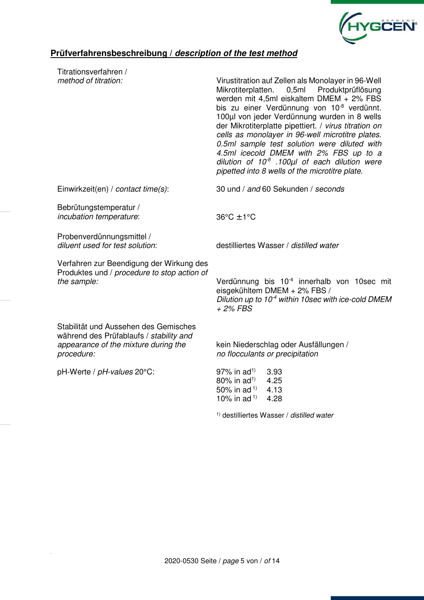

| Titrationsverfahren /                                                                                                                  |                                                                                                                                                                                                                                                                                                                                                                                                                                                                                                                                                                                |  |  |  |  |  |  |  |
|----------------------------------------------------------------------------------------------------------------------------------------|--------------------------------------------------------------------------------------------------------------------------------------------------------------------------------------------------------------------------------------------------------------------------------------------------------------------------------------------------------------------------------------------------------------------------------------------------------------------------------------------------------------------------------------------------------------------------------|--|--|--|--|--|--|--|
| method of titration:                                                                                                                   | Virustitration auf Zellen als Monolayer in 96-Well<br>Produktprüflösung<br>Mikrotiterplatten.<br>0,5ml<br>werden mit 4,5ml eiskaltem DMEM + 2% FBS<br>bis zu einer Verdünnung von 10 <sup>-8</sup> verdünnt.<br>100µl von jeder Verdünnung wurden in 8 wells<br>der Mikrotiterplatte pipettiert. / virus titration on<br>cells as monolayer in 96-well microtitre plates.<br>0.5ml sample test solution were diluted with<br>4.5ml icecold DMEM with 2% FBS up to a<br>dilution of $10^8$ .100 $\mu$ l of each dilution were<br>pipetted into 8 wells of the microtitre plate. |  |  |  |  |  |  |  |
| Einwirkzeit(en) / contact time(s):                                                                                                     | 30 und / and 60 Sekunden / seconds                                                                                                                                                                                                                                                                                                                                                                                                                                                                                                                                             |  |  |  |  |  |  |  |
| Bebrütungstemperatur /<br>incubation temperature:                                                                                      | $36^{\circ}$ C $\pm$ 1°C                                                                                                                                                                                                                                                                                                                                                                                                                                                                                                                                                       |  |  |  |  |  |  |  |
| Probenverdünnungsmittel /<br>diluent used for test solution:                                                                           | destilliertes Wasser / distilled water                                                                                                                                                                                                                                                                                                                                                                                                                                                                                                                                         |  |  |  |  |  |  |  |
| Verfahren zur Beendigung der Wirkung des<br>Produktes und / procedure to stop action of<br>the sample:                                 | Verdünnung bis 10 <sup>-4</sup> innerhalb von 10sec mit<br>eisgekühltem DMEM + 2% FBS /<br>Dilution up to 10 <sup>-4</sup> within 10sec with ice-cold DMEM<br>$+2\%$ FBS                                                                                                                                                                                                                                                                                                                                                                                                       |  |  |  |  |  |  |  |
| Stabilität und Aussehen des Gemisches<br>während des Prüfablaufs / stability and<br>appearance of the mixture during the<br>procedure: | kein Niederschlag oder Ausfällungen /<br>no flocculants or precipitation                                                                                                                                                                                                                                                                                                                                                                                                                                                                                                       |  |  |  |  |  |  |  |
| pH-Werte / pH-values 20°C:                                                                                                             | $97\%$ in ad <sup>1)</sup><br>3.93<br>$80\%$ in ad <sup>1)</sup><br>4.25<br>50% in ad <sup>1)</sup><br>4.13<br>10% in ad <sup>1)</sup><br>4.28                                                                                                                                                                                                                                                                                                                                                                                                                                 |  |  |  |  |  |  |  |

1) destilliertes Wasser / distilled water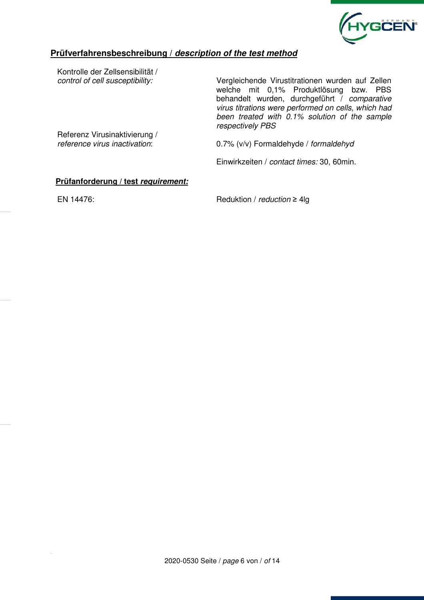

Kontrolle der Zellsensibilität /

control of cell susceptibility: Vergleichende Virustitrationen wurden auf Zellen welche mit 0,1% Produktlösung bzw. PBS behandelt wurden, durchgeführt / comparative virus titrations were performed on cells, which had been treated with 0.1% solution of the sample respectively PBS

Referenz Virusinaktivierung /

reference virus inactivation: 0.7% (v/v) Formaldehyde / formaldehyd

Einwirkzeiten / contact times: 30, 60min.

#### **Prüfanforderung / test** *requirement:*

EN 14476: Reduktion / reduction ≥ 4lg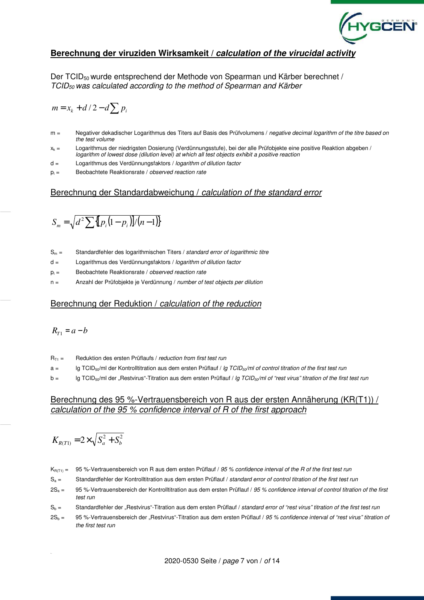

## **Berechnung der viruziden Wirksamkeit /** *calculation of the virucidal activity*

Der TCID<sub>50</sub> wurde entsprechend der Methode von Spearman und Kärber berechnet / TCID<sub>50</sub> was calculated according to the method of Spearman and Kärber

$$
m = x_k + d/2 - d \sum p_i
$$

- m = Negativer dekadischer Logarithmus des Titers auf Basis des Prüfvolumens / negative decimal logarithm of the titre based on the test volume
- $x_k =$  Logarithmus der niedrigsten Dosierung (Verdünnungsstufe), bei der alle Prüfobjekte eine positive Reaktion abgeben / logarithm of lowest dose (dilution level) at which all test objects exhibit a positive reaction
- d = Logarithmus des Verdünnungsfaktors / logarithm of dilution factor
- $p_i =$  Beobachtete Reaktionsrate / observed reaction rate

#### Berechnung der Standardabweichung / calculation of the standard error

$$
S_m = \sqrt{d^2 \sum \{ [p_i(1-p_i)]/(n-1) \}}
$$

- $S_m =$  Standardfehler des logarithmischen Titers / standard error of logarithmic titre
- d = Logarithmus des Verdünnungsfaktors / logarithm of dilution factor
- $p_i =$  Beobachtete Reaktionsrate / observed reaction rate
- n = Anzahl der Prüfobjekte je Verdünnung / number of test objects per dilution

#### Berechnung der Reduktion / calculation of the reduction

$$
R_{T1}=a-b
$$

- $R_{T1}$  = Reduktion des ersten Prüflaufs / *reduction from first test run*
- $a =$  lg TCID<sub>50</sub>/ml der Kontrolltitration aus dem ersten Prüflauf / lg TCID<sub>50</sub>/ml of control titration of the first test run
- $b =$  lg TCID<sub>50</sub>/ml der "Restvirus"-Titration aus dem ersten Prüflauf / lg TCID<sub>50</sub>/ml of "rest virus" titration of the first test run

#### Berechnung des 95 %-Vertrauensbereich von R aus der ersten Annäherung (KR(T1)) / calculation of the 95 % confidence interval of R of the first approach

$$
K_{R(T1)}=2\times\sqrt{S_a^2+S_b^2}
$$

 $K_{R(T1)} = 95$ %-Vertrauensbereich von R aus dem ersten Prüflauf / 95 % confidence interval of the R of the first test run

- $S_a =$  Standardfehler der Kontrolltitration aus dem ersten Prüflauf / standard error of control titration of the first test run
- 2S<sub>a</sub> = 95 %-Vertrauensbereich der Kontrolltitration aus dem ersten Prüflauf / 95 % confidence interval of control titration of the first test run
- $S_h$  = Standardfehler der "Restvirus"-Titration aus dem ersten Prüflauf / standard error of "rest virus" titration of the first test run
- $2S_b = 95$  %-Vertrauensbereich der "Restvirus"-Titration aus dem ersten Prüflauf / 95 % confidence interval of "rest virus" titration of the first test run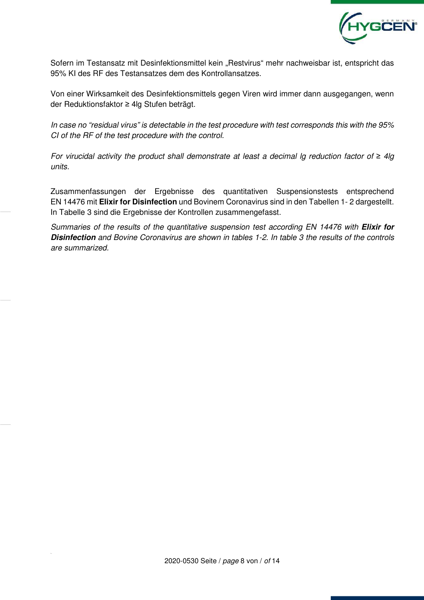

Sofern im Testansatz mit Desinfektionsmittel kein "Restvirus" mehr nachweisbar ist, entspricht das 95% KI des RF des Testansatzes dem des Kontrollansatzes.

Von einer Wirksamkeit des Desinfektionsmittels gegen Viren wird immer dann ausgegangen, wenn der Reduktionsfaktor ≥ 4lg Stufen beträgt.

In case no "residual virus" is detectable in the test procedure with test corresponds this with the 95% CI of the RF of the test procedure with the control.

For virucidal activity the product shall demonstrate at least a decimal lg reduction factor of *≥* 4lg units.

Zusammenfassungen der Ergebnisse des quantitativen Suspensionstests entsprechend EN 14476 mit **Elixir for Disinfection** und Bovinem Coronavirus sind in den Tabellen 1- 2 dargestellt. In Tabelle 3 sind die Ergebnisse der Kontrollen zusammengefasst.

Summaries of the results of the quantitative suspension test according EN 14476 with *Elixir for Disinfection* and Bovine Coronavirus are shown in tables 1-2. In table 3 the results of the controls are summarized.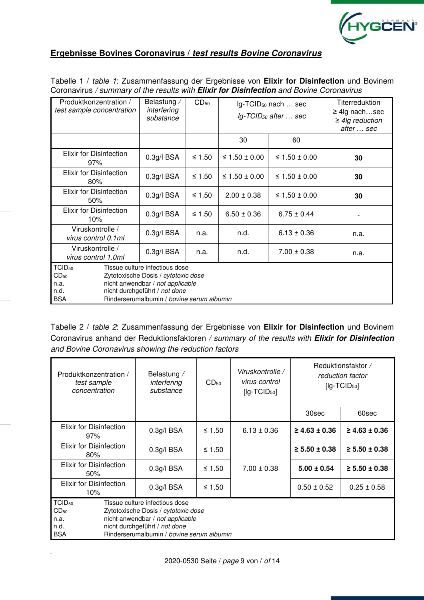

## **Ergebnisse Bovines Coronavirus /** *test results Bovine Coronavirus*

| Produktkonzentration /<br>test sample concentration                  | Belastung /<br>interfering<br>substance                                                                                                                                                 | CD <sub>50</sub> |                      | Ig-TCID <sub>50</sub> nach  sec<br>$lg$ -TCID <sub>50</sub> after  sec | Titerreduktion<br>$\geq$ 4lg nachsec<br>$\geq$ 4lg reduction<br>after  sec |  |  |  |
|----------------------------------------------------------------------|-----------------------------------------------------------------------------------------------------------------------------------------------------------------------------------------|------------------|----------------------|------------------------------------------------------------------------|----------------------------------------------------------------------------|--|--|--|
|                                                                      |                                                                                                                                                                                         |                  | 30                   | 60                                                                     |                                                                            |  |  |  |
| <b>Elixir for Disinfection</b><br>97%                                | $0.3g/1$ BSA                                                                                                                                                                            | ≤ 1.50           | ≤ 1.50 ± 0.00        | ≤ 1.50 ± 0.00                                                          | 30                                                                         |  |  |  |
| <b>Elixir for Disinfection</b><br>80%                                | 0.3g/IBSA                                                                                                                                                                               | $\leq 1.50$      | $\leq 1.50 \pm 0.00$ | 30                                                                     |                                                                            |  |  |  |
| Elixir for Disinfection<br>50%                                       | 0.3g/IBSA                                                                                                                                                                               | ≤ 1.50           | $2.00 \pm 0.38$      | ≤ 1.50 ± 0.00                                                          | 30                                                                         |  |  |  |
| <b>Elixir for Disinfection</b><br>10%                                | 0.3g/IBSA                                                                                                                                                                               | ≤ 1.50           | $6.50 \pm 0.36$      | $6.75 \pm 0.44$                                                        |                                                                            |  |  |  |
| Viruskontrolle /<br>virus control 0.1ml                              | 0.3g/IBSA                                                                                                                                                                               | n.a.             | n.d.                 | $6.13 \pm 0.36$                                                        | n.a.                                                                       |  |  |  |
| Viruskontrolle /<br>virus control 1.0ml                              | $0.3g/1$ BSA                                                                                                                                                                            | n.a.             | n.d.                 | $7.00 \pm 0.38$                                                        | n.a.                                                                       |  |  |  |
| TCID <sub>50</sub><br>CD <sub>50</sub><br>n.a.<br>n.d.<br><b>BSA</b> | Tissue culture infectious dose<br>Zytotoxische Dosis / cytotoxic dose<br>nicht anwendbar / not applicable<br>nicht durchgeführt / not done<br>Rinderserumalbumin / bovine serum albumin |                  |                      |                                                                        |                                                                            |  |  |  |

Tabelle 1 / table 1: Zusammenfassung der Ergebnisse von **Elixir for Disinfection** und Bovinem Coronavirus / summary of the results with *Elixir for Disinfection* and Bovine Coronavirus

Tabelle 2 / table 2: Zusammenfassung der Ergebnisse von **Elixir for Disinfection** und Bovinem Coronavirus anhand der Reduktionsfaktoren / summary of the results with *Elixir for Disinfection* and Bovine Coronavirus showing the reduction factors

| Produktkonzentration /<br>test sample<br>concentration        | Belastung /<br>interfering<br>substance                                                                                                                                                 | Viruskontrolle /<br>virus control<br>$[lg-TCID50]$ |                 | Reduktionsfaktor /<br>reduction factor<br>$[lg-TCID50]$ |                      |
|---------------------------------------------------------------|-----------------------------------------------------------------------------------------------------------------------------------------------------------------------------------------|----------------------------------------------------|-----------------|---------------------------------------------------------|----------------------|
|                                                               |                                                                                                                                                                                         |                                                    |                 | 30sec                                                   | 60sec                |
| <b>Elixir for Disinfection</b><br>97%                         | 0.3g/IBSA<br>≤ 1.50                                                                                                                                                                     |                                                    | $6.13 \pm 0.36$ | $\geq 4.63 \pm 0.36$                                    | $\geq 4.63 \pm 0.36$ |
| Elixir for Disinfection<br>80%                                | 0.3g/IBSA                                                                                                                                                                               | ≤ 1.50                                             |                 | $\geq 5.50 \pm 0.38$                                    | $\geq 5.50 \pm 0.38$ |
| Elixir for Disinfection<br>50%                                | $0.3g/l$ BSA                                                                                                                                                                            | $\leq 1.50$                                        | $5.00 \pm 0.54$ | $\geq 5.50 \pm 0.38$                                    |                      |
| Elixir for Disinfection<br>10%                                | $0.3g/l$ BSA                                                                                                                                                                            | $0.50 \pm 0.52$                                    | $0.25 \pm 0.58$ |                                                         |                      |
| TCID <sub>50</sub><br>$CD_{50}$<br>n.a.<br>n.d.<br><b>BSA</b> | Tissue culture infectious dose<br>Zytotoxische Dosis / cytotoxic dose<br>nicht anwendbar / not applicable<br>nicht durchgeführt / not done<br>Rinderserumalbumin / bovine serum albumin |                                                    |                 |                                                         |                      |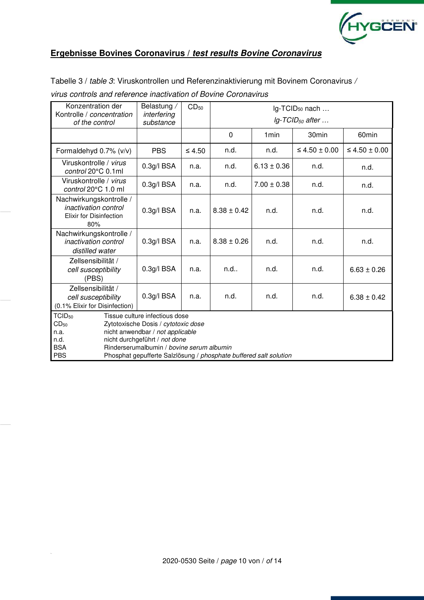

## **Ergebnisse Bovines Coronavirus /** *test results Bovine Coronavirus*

Tabelle 3 / table 3: Viruskontrollen und Referenzinaktivierung mit Bovinem Coronavirus /

| Konzentration der<br>Kontrolle / concentration                                                  | Belastung /<br>interfering                                                                                                                                                                                                                                   | CD <sub>50</sub>     | lg-TCID <sub>50</sub> nach |                  |                                |                      |  |  |  |  |  |  |  |  |
|-------------------------------------------------------------------------------------------------|--------------------------------------------------------------------------------------------------------------------------------------------------------------------------------------------------------------------------------------------------------------|----------------------|----------------------------|------------------|--------------------------------|----------------------|--|--|--|--|--|--|--|--|
| of the control                                                                                  | substance                                                                                                                                                                                                                                                    |                      |                            |                  | $lg$ -TCID <sub>50</sub> after |                      |  |  |  |  |  |  |  |  |
|                                                                                                 |                                                                                                                                                                                                                                                              |                      | 0                          | 1 <sub>min</sub> | 30 <sub>min</sub>              | 60 <sub>min</sub>    |  |  |  |  |  |  |  |  |
| Formaldehyd 0.7% (v/v)                                                                          | <b>PBS</b>                                                                                                                                                                                                                                                   | $\leq 4.50$          | n.d.                       | n.d.             | $\leq 4.50 \pm 0.00$           | $\leq 4.50 \pm 0.00$ |  |  |  |  |  |  |  |  |
| Viruskontrolle / virus<br>control 20°C 0.1ml                                                    | 0.3g/IBSA                                                                                                                                                                                                                                                    | n.a.                 | n.d.                       | $6.13 \pm 0.36$  | n.d.                           | n.d.                 |  |  |  |  |  |  |  |  |
| Viruskontrolle / virus<br>control 20°C 1.0 ml                                                   | 0.3g/IBSA                                                                                                                                                                                                                                                    | n.a.                 | n.d.                       | $7.00 \pm 0.38$  | n.d.                           | n.d.                 |  |  |  |  |  |  |  |  |
| Nachwirkungskontrolle /<br><i>inactivation control</i><br><b>Elixir for Disinfection</b><br>80% | 0.3g/IBSA                                                                                                                                                                                                                                                    | n.a.                 | $8.38 \pm 0.42$            | n.d.             | n.d.                           | n.d.                 |  |  |  |  |  |  |  |  |
| Nachwirkungskontrolle /<br><i>inactivation control</i><br>distilled water                       | $0.3g/l$ BSA                                                                                                                                                                                                                                                 | n.a.                 | $8.38 \pm 0.26$            | n.d.             | n.d.                           | n.d.                 |  |  |  |  |  |  |  |  |
| Zellsensibilität /<br>cell susceptibility<br>(PBS)                                              | $0.3g/l$ BSA                                                                                                                                                                                                                                                 | n.a.                 | n.d.                       | n.d.             | n.d.                           | $6.63 \pm 0.26$      |  |  |  |  |  |  |  |  |
| Zellsensibilität /<br>cell susceptibility<br>(0.1% Elixir for Disinfection)                     | 0.3g/IBSA                                                                                                                                                                                                                                                    | n.d.<br>n.d.<br>n.a. |                            |                  |                                | $6.38 \pm 0.42$      |  |  |  |  |  |  |  |  |
| TCID <sub>50</sub><br>CD <sub>50</sub><br>n.a.<br>n.d.<br><b>BSA</b><br><b>PBS</b>              | Tissue culture infectious dose<br>Zytotoxische Dosis / cytotoxic dose<br>nicht anwendbar / not applicable<br>nicht durchgeführt / not done<br>Rinderserumalbumin / bovine serum albumin<br>Phosphat gepufferte Salzlösung / phosphate buffered salt solution |                      |                            |                  |                                |                      |  |  |  |  |  |  |  |  |

virus controls and reference inactivation of Bovine Coronavirus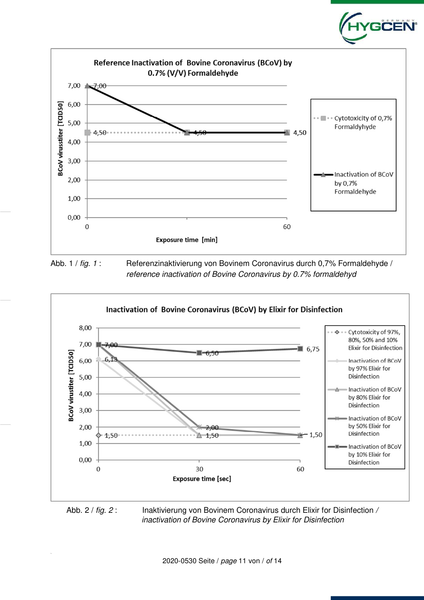

**GĊËÑ** 

Abb. 1 / fig. 1 : Referenzinaktivierung von Bovinem Coronavirus durch 0,7% Formaldehyde / reference inactivation of Bovine Coronavirus by 0.7% formaldehyd



inactivation of Bovine Coronavirus by Elixir for Disinfection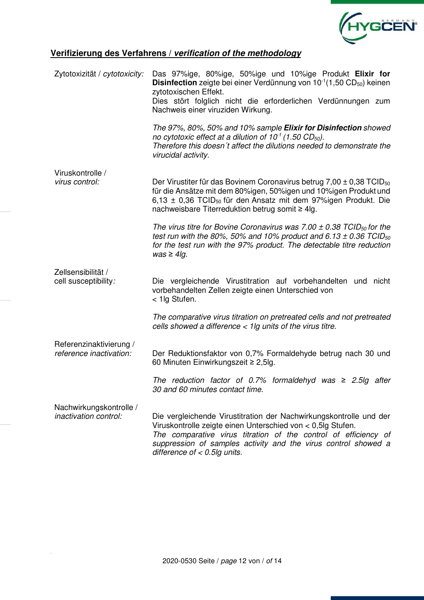

# **Verifizierung des Verfahrens /** *verification of the methodology*

| Zytotoxizität / cytotoxicity:                           | Das 97%ige, 80%ige, 50%ige und 10%ige Produkt Elixir for<br><b>Disinfection</b> zeigte bei einer Verdünnung von $10^{-1}(1,50 \text{ CD}_{50})$ keinen<br>zytotoxischen Effekt.                                                                                                                           |
|---------------------------------------------------------|-----------------------------------------------------------------------------------------------------------------------------------------------------------------------------------------------------------------------------------------------------------------------------------------------------------|
|                                                         | Dies stört folglich nicht die erforderlichen Verdünnungen zum<br>Nachweis einer viruziden Wirkung.                                                                                                                                                                                                        |
|                                                         | The 97%, 80%, 50% and 10% sample <b>Elixir for Disinfection</b> showed<br>no cytotoxic effect at a dilution of $10^1$ (1.50 CD <sub>50</sub> ).<br>Therefore this doesn't affect the dilutions needed to demonstrate the<br>virucidal activity.                                                           |
| Viruskontrolle /<br>virus control:                      | Der Virustiter für das Bovinem Coronavirus betrug $7,00 \pm 0,38$ TCID <sub>50</sub><br>für die Ansätze mit dem 80%igen, 50%igen und 10%igen Produkt und<br>6,13 $\pm$ 0,36 TCID <sub>50</sub> für den Ansatz mit dem 97%igen Produkt. Die<br>nachweisbare Titerreduktion betrug somit ≥ 4lg.             |
|                                                         | The virus titre for Bovine Coronavirus was 7.00 $\pm$ 0.38 TCID <sub>50</sub> for the<br>test run with the 80%, 50% and 10% product and 6.13 $\pm$ 0.36 TCID <sub>50</sub><br>for the test run with the 97% product. The detectable titre reduction<br>$was \geq 4lg$ .                                   |
| Zellsensibilität /<br>cell susceptibility:              | Die vergleichende Virustitration auf vorbehandelten und nicht<br>vorbehandelten Zellen zeigte einen Unterschied von<br>< 1lg Stufen.                                                                                                                                                                      |
|                                                         | The comparative virus titration on pretreated cells and not pretreated<br>cells showed a difference $<$ 1lg units of the virus titre.                                                                                                                                                                     |
| Referenzinaktivierung /<br>reference inactivation:      | Der Reduktionsfaktor von 0,7% Formaldehyde betrug nach 30 und<br>60 Minuten Einwirkungszeit ≥ 2,5lg.                                                                                                                                                                                                      |
|                                                         | The reduction factor of 0.7% formaldehyd was $\geq$ 2.5lg after<br>30 and 60 minutes contact time.                                                                                                                                                                                                        |
| Nachwirkungskontrolle /<br><i>inactivation control:</i> | Die vergleichende Virustitration der Nachwirkungskontrolle und der<br>Viruskontrolle zeigte einen Unterschied von < 0,5lg Stufen.<br>The comparative virus titration of the control of efficiency of<br>suppression of samples activity and the virus control showed a<br>difference of $< 0.5$ lg units. |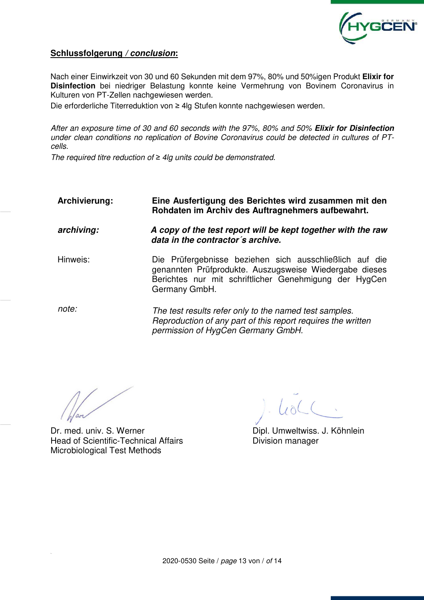

## **Schlussfolgerung** */ conclusion***:**

Nach einer Einwirkzeit von 30 und 60 Sekunden mit dem 97%, 80% und 50%igen Produkt **Elixir for Disinfection** bei niedriger Belastung konnte keine Vermehrung von Bovinem Coronavirus in Kulturen von PT-Zellen nachgewiesen werden.

Die erforderliche Titerreduktion von ≥ 4lg Stufen konnte nachgewiesen werden.

After an exposure time of 30 and 60 seconds with the 97%, 80% and 50% *Elixir for Disinfection* under clean conditions no replication of Bovine Coronavirus could be detected in cultures of PTcells.

The required titre reduction of *≥* 4lg units could be demonstrated.

| Archivierung: | Eine Ausfertigung des Berichtes wird zusammen mit den<br>Rohdaten im Archiv des Auftragnehmers aufbewahrt.                                                                                   |  |  |  |  |  |  |  |  |  |
|---------------|----------------------------------------------------------------------------------------------------------------------------------------------------------------------------------------------|--|--|--|--|--|--|--|--|--|
| archiving:    | A copy of the test report will be kept together with the raw<br>data in the contractor's archive.                                                                                            |  |  |  |  |  |  |  |  |  |
| Hinweis:      | Die Prüfergebnisse beziehen sich ausschließlich auf die<br>genannten Prüfprodukte. Auszugsweise Wiedergabe dieses<br>Berichtes nur mit schriftlicher Genehmigung der HygCen<br>Germany GmbH. |  |  |  |  |  |  |  |  |  |
| note:         | The test results refer only to the named test samples.<br>Reproduction of any part of this report requires the written<br>permission of HygCen Germany GmbH.                                 |  |  |  |  |  |  |  |  |  |

Dr. med. univ. S. Werner Head of Scientific-Technical Affairs **Exercise Scientific-Technical Affairs** Division manager Microbiological Test Methods

 $100<$ 

Dipl. Umweltwiss. J. Köhnlein